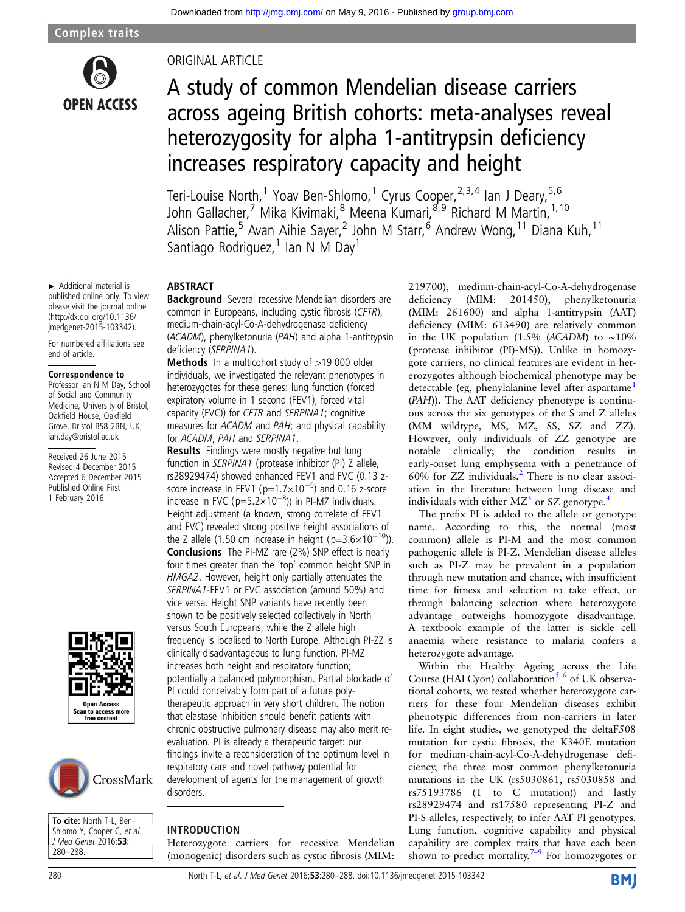

# ORIGINAL ARTICLE

# A study of common Mendelian disease carriers across ageing British cohorts: meta-analyses reveal heterozygosity for alpha 1-antitrypsin deficiency increases respiratory capacity and height

Teri-Louise North,<sup>1</sup> Yoav Ben-Shlomo,<sup>1</sup> Cyrus Cooper,<sup>2,3,4</sup> Ian J Deary,<sup>5,6</sup> John Gallacher,<sup>7</sup> Mika Kivimaki, <sup>8</sup> Meena Kumari, <sup>8, 9</sup> Richard M Martin, <sup>1, 10</sup> Alison Pattie,<sup>5</sup> Avan Aihie Sayer,<sup>2</sup> John M Starr,<sup>6</sup> Andrew Wong,<sup>11</sup> Diana Kuh,<sup>11</sup> Santiago Rodriguez, $1$  Ian N M Day<sup>1</sup>

# ABSTRACT

**Background** Several recessive Mendelian disorders are common in Europeans, including cystic fibrosis (CFTR), medium-chain-acyl-Co-A-dehydrogenase deficiency (ACADM), phenylketonuria (PAH) and alpha 1-antitrypsin deficiency (SERPINA1).

Methods In a multicohort study of >19 000 older individuals, we investigated the relevant phenotypes in heterozygotes for these genes: lung function (forced expiratory volume in 1 second (FEV1), forced vital capacity (FVC)) for CFTR and SERPINA1; cognitive measures for ACADM and PAH; and physical capability for ACADM, PAH and SERPINA1.

Results Findings were mostly negative but lung function in SERPINA1 (protease inhibitor (PI) Z allele, rs28929474) showed enhanced FEV1 and FVC (0.13 zscore increase in FEV1 (p=1.7 $\times$ 10 $^{-5}$ ) and 0.16 z-score increase in FVC ( $p=5.2\times10^{-8}$ )) in PI-MZ individuals. Height adjustment (a known, strong correlate of FEV1 and FVC) revealed strong positive height associations of the Z allele (1.50 cm increase in height (p=3.6×10<sup>-10</sup>)). Conclusions The PI-MZ rare (2%) SNP effect is nearly four times greater than the 'top' common height SNP in HMGA2. However, height only partially attenuates the SERPINA1-FEV1 or FVC association (around 50%) and vice versa. Height SNP variants have recently been shown to be positively selected collectively in North versus South Europeans, while the Z allele high frequency is localised to North Europe. Although PI-ZZ is clinically disadvantageous to lung function, PI-MZ increases both height and respiratory function; potentially a balanced polymorphism. Partial blockade of PI could conceivably form part of a future polytherapeutic approach in very short children. The notion that elastase inhibition should benefit patients with chronic obstructive pulmonary disease may also merit reevaluation. PI is already a therapeutic target: our findings invite a reconsideration of the optimum level in respiratory care and novel pathway potential for development of agents for the management of growth disorders.

### 219700), medium-chain-acyl-Co-A-dehydrogenase deficiency (MIM: 201450), phenylketonuria (MIM: 261600) and alpha 1-antitrypsin (AAT) deficiency (MIM: 613490) are relatively common in the UK population (1.5% (ACADM) to ∼10% (protease inhibitor (PI)-MS)). Unlike in homozygote carriers, no clinical features are evident in heterozygotes although biochemical phenotype may be detectable (eg, phenylalanine level after aspartame $<sup>1</sup>$  $<sup>1</sup>$  $<sup>1</sup>$ </sup> (PAH)). The AAT deficiency phenotype is continuous across the six genotypes of the S and Z alleles (MM wildtype, MS, MZ, SS, SZ and ZZ). However, only individuals of ZZ genotype are notable clinically; the condition results in early-onset lung emphysema with a penetrance of 60% for ZZ individuals[.2](#page-7-0) There is no clear association in the literature between lung disease and individuals with either  $MZ^3$  $MZ^3$  or SZ genotype.<sup>4</sup>

The prefix PI is added to the allele or genotype name. According to this, the normal (most common) allele is PI-M and the most common pathogenic allele is PI-Z. Mendelian disease alleles such as PI-Z may be prevalent in a population through new mutation and chance, with insufficient time for fitness and selection to take effect, or through balancing selection where heterozygote advantage outweighs homozygote disadvantage. A textbook example of the latter is sickle cell anaemia where resistance to malaria confers a heterozygote advantage.

Within the Healthy Ageing across the Life Course (HALCyon) collaboration<sup>[5 6](#page-7-0)</sup> of UK observational cohorts, we tested whether heterozygote carriers for these four Mendelian diseases exhibit phenotypic differences from non-carriers in later life. In eight studies, we genotyped the deltaF508 mutation for cystic fibrosis, the K340E mutation for medium-chain-acyl-Co-A-dehydrogenase deficiency, the three most common phenylketonuria mutations in the UK (rs5030861, rs5030858 and rs75193786 (T to C mutation)) and lastly rs28929474 and rs17580 representing PI-Z and PI-S alleles, respectively, to infer AAT PI genotypes. Lung function, cognitive capability and physical capability are complex traits that have each been shown to predict mortality.7–[9](#page-7-0) For homozygotes or

▸ Additional material is published online only. To view please visit the journal online [\(http://dx.doi.org/10.1136/](http://dx.doi.org/10.1136/jmedgenet-2015-103342) [jmedgenet-2015-103342\)](http://dx.doi.org/10.1136/jmedgenet-2015-103342).

For numbered affiliations see end of article.

#### Correspondence to

Professor Ian N M Day, School of Social and Community Medicine, University of Bristol, Oakfield House, Oakfield Grove, Bristol BS8 2BN, UK; ian.day@bristol.ac.uk

Received 26 June 2015 Revised 4 December 2015 Accepted 6 December 2015 Published Online First 1 February 2016





To cite: North T-L, Ben-Shlomo Y, Cooper C, et al. J Med Genet 2016;53: 280–288.

# INTRODUCTION

Heterozygote carriers for recessive Mendelian (monogenic) disorders such as cystic fibrosis (MIM:

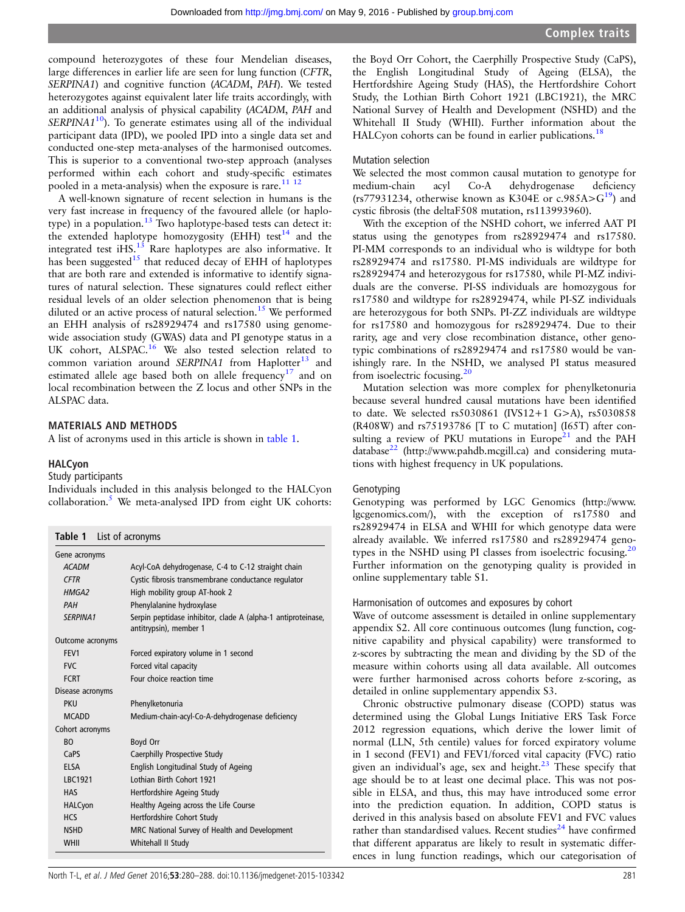compound heterozygotes of these four Mendelian diseases, large differences in earlier life are seen for lung function (CFTR, SERPINA1) and cognitive function (ACADM, PAH). We tested heterozygotes against equivalent later life traits accordingly, with an additional analysis of physical capability (ACADM, PAH and  $SERPINA1^{10}$  $SERPINA1^{10}$  $SERPINA1^{10}$ ). To generate estimates using all of the individual participant data (IPD), we pooled IPD into a single data set and conducted one-step meta-analyses of the harmonised outcomes. This is superior to a conventional two-step approach (analyses performed within each cohort and study-specific estimates pooled in a meta-analysis) when the exposure is rare.<sup>[11 12](#page-7-0)</sup>

A well-known signature of recent selection in humans is the very fast increase in frequency of the favoured allele (or haplotype) in a population.<sup>13</sup> Two haplotype-based tests can detect it: the extended haplotype homozygosity (EHH) test<sup>[14](#page-7-0)</sup> and the integrated test iHS.<sup>[13](#page-7-0)</sup> Rare haplotypes are also informative. It has been suggested<sup>[15](#page-7-0)</sup> that reduced decay of EHH of haplotypes that are both rare and extended is informative to identify signatures of natural selection. These signatures could reflect either residual levels of an older selection phenomenon that is being diluted or an active process of natural selection.<sup>[15](#page-7-0)</sup> We performed an EHH analysis of rs28929474 and rs17580 using genomewide association study (GWAS) data and PI genotype status in a UK cohort, ALSPAC.<sup>[16](#page-7-0)</sup> We also tested selection related to common variation around SERPINA1 from Haplotter<sup>[13](#page-7-0)</sup> and estimated allele age based both on allele frequency<sup>[17](#page-7-0)</sup> and on local recombination between the Z locus and other SNPs in the ALSPAC data.

## MATERIALS AND METHODS

A list of acronyms used in this article is shown in table 1.

#### HALCyon

Study participants

Individuals included in this analysis belonged to the HALCyon  $collaboration.<sup>5</sup>$  We meta-analysed IPD from eight UK cohorts:

Table 1 List of acronyms

| Gene acronyms     |                                                                                        |  |
|-------------------|----------------------------------------------------------------------------------------|--|
| <b>ACADM</b>      | Acyl-CoA dehydrogenase, C-4 to C-12 straight chain                                     |  |
| <b>CFTR</b>       | Cystic fibrosis transmembrane conductance regulator                                    |  |
| HMGA <sub>2</sub> | High mobility group AT-hook 2                                                          |  |
| PAH               | Phenylalanine hydroxylase                                                              |  |
| <b>SFRPINA1</b>   | Serpin peptidase inhibitor, clade A (alpha-1 antiproteinase,<br>antitrypsin), member 1 |  |
| Outcome acronyms  |                                                                                        |  |
| FFV1              | Forced expiratory volume in 1 second                                                   |  |
| <b>FVC</b>        | Forced vital capacity                                                                  |  |
| <b>FCRT</b>       | Four choice reaction time                                                              |  |
| Disease acronyms  |                                                                                        |  |
| <b>PKU</b>        | Phenylketonuria                                                                        |  |
| <b>MCADD</b>      | Medium-chain-acyl-Co-A-dehydrogenase deficiency                                        |  |
| Cohort acronyms   |                                                                                        |  |
| <b>BO</b>         | Boyd Orr                                                                               |  |
| CaPS              | Caerphilly Prospective Study                                                           |  |
| <b>ELSA</b>       | English Longitudinal Study of Ageing                                                   |  |
| LBC1921           | Lothian Birth Cohort 1921                                                              |  |
| <b>HAS</b>        | Hertfordshire Ageing Study                                                             |  |
| <b>HALCyon</b>    | Healthy Ageing across the Life Course                                                  |  |
| <b>HCS</b>        | Hertfordshire Cohort Study                                                             |  |
| <b>NSHD</b>       | MRC National Survey of Health and Development                                          |  |
| WHII              | Whitehall II Study                                                                     |  |

the Boyd Orr Cohort, the Caerphilly Prospective Study (CaPS), the English Longitudinal Study of Ageing (ELSA), the Hertfordshire Ageing Study (HAS), the Hertfordshire Cohort Study, the Lothian Birth Cohort 1921 (LBC1921), the MRC National Survey of Health and Development (NSHD) and the Whitehall II Study (WHII). Further information about the HALCyon cohorts can be found in earlier publications.<sup>[18](#page-7-0)</sup>

#### Mutation selection

We selected the most common causal mutation to genotype for medium-chain acyl Co-A dehydrogenase deficiency  $(rs77931234,$  otherwise known as K304E or c.985A $>$ G<sup>19</sup>) and cystic fibrosis (the deltaF508 mutation, rs113993960).

With the exception of the NSHD cohort, we inferred AAT PI status using the genotypes from rs28929474 and rs17580. PI-MM corresponds to an individual who is wildtype for both rs28929474 and rs17580. PI-MS individuals are wildtype for rs28929474 and heterozygous for rs17580, while PI-MZ individuals are the converse. PI-SS individuals are homozygous for rs17580 and wildtype for rs28929474, while PI-SZ individuals are heterozygous for both SNPs. PI-ZZ individuals are wildtype for rs17580 and homozygous for rs28929474. Due to their rarity, age and very close recombination distance, other genotypic combinations of rs28929474 and rs17580 would be vanishingly rare. In the NSHD, we analysed PI status measured from isoelectric focusing[.20](#page-7-0)

Mutation selection was more complex for phenylketonuria because several hundred causal mutations have been identified to date. We selected rs5030861 (IVS12+1 G>A), rs5030858 (R408W) and rs75193786 [T to C mutation] (I65T) after consulting a review of PKU mutations in Europe<sup>21</sup> and the PAH database $^{22}$  $^{22}$  $^{22}$  [\(http://www.pahdb.mcgill.ca](http://www.pahdb.mcgill.ca)) and considering mutations with highest frequency in UK populations.

#### Genotyping

Genotyping was performed by LGC Genomics [\(http://www.](http://www.lgcgenomics.com/) [lgcgenomics.com/](http://www.lgcgenomics.com/)), with the exception of rs17580 and rs28929474 in ELSA and WHII for which genotype data were already available. We inferred rs17580 and rs28929474 genotypes in the NSHD using PI classes from isoelectric focusing.[20](#page-7-0) Further information on the genotyping quality is provided in online supplementary table S1.

#### Harmonisation of outcomes and exposures by cohort

Wave of outcome assessment is detailed in online supplementary appendix S2. All core continuous outcomes (lung function, cognitive capability and physical capability) were transformed to z-scores by subtracting the mean and dividing by the SD of the measure within cohorts using all data available. All outcomes were further harmonised across cohorts before z-scoring, as detailed in online supplementary appendix S3.

Chronic obstructive pulmonary disease (COPD) status was determined using the Global Lungs Initiative ERS Task Force 2012 regression equations, which derive the lower limit of normal (LLN, 5th centile) values for forced expiratory volume in 1 second (FEV1) and FEV1/forced vital capacity (FVC) ratio given an individual's age, sex and height. $^{23}$  $^{23}$  $^{23}$  These specify that age should be to at least one decimal place. This was not possible in ELSA, and thus, this may have introduced some error into the prediction equation. In addition, COPD status is derived in this analysis based on absolute FEV1 and FVC values rather than standardised values. Recent studies $^{24}$  have confirmed that different apparatus are likely to result in systematic differences in lung function readings, which our categorisation of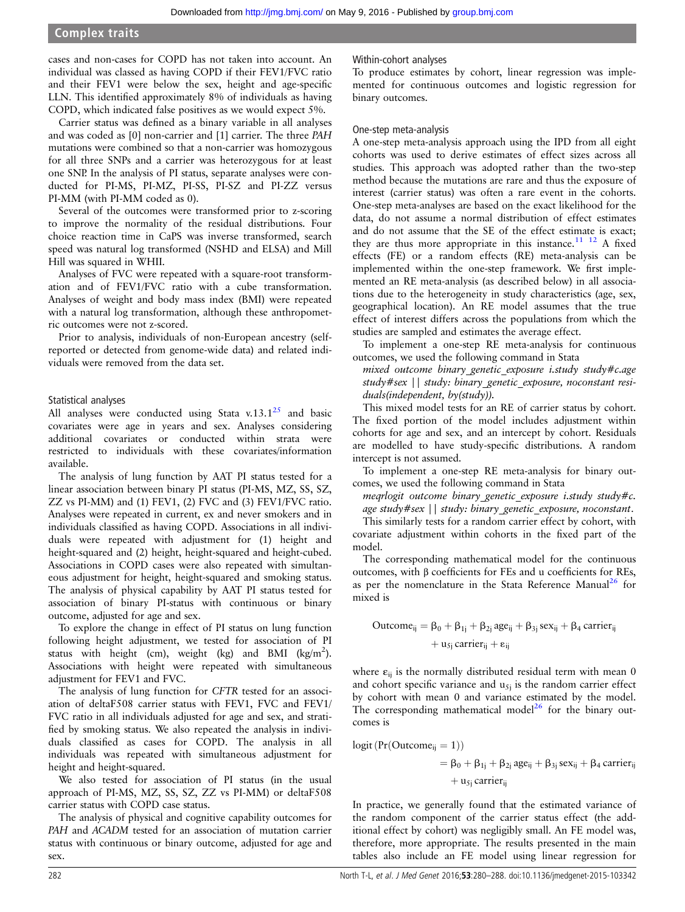cases and non-cases for COPD has not taken into account. An individual was classed as having COPD if their FEV1/FVC ratio and their FEV1 were below the sex, height and age-specific LLN. This identified approximately 8% of individuals as having COPD, which indicated false positives as we would expect 5%.

Carrier status was defined as a binary variable in all analyses and was coded as [0] non-carrier and [1] carrier. The three PAH mutations were combined so that a non-carrier was homozygous for all three SNPs and a carrier was heterozygous for at least one SNP. In the analysis of PI status, separate analyses were conducted for PI-MS, PI-MZ, PI-SS, PI-SZ and PI-ZZ versus PI-MM (with PI-MM coded as 0).

Several of the outcomes were transformed prior to z-scoring to improve the normality of the residual distributions. Four choice reaction time in CaPS was inverse transformed, search speed was natural log transformed (NSHD and ELSA) and Mill Hill was squared in WHII.

Analyses of FVC were repeated with a square-root transformation and of FEV1/FVC ratio with a cube transformation. Analyses of weight and body mass index (BMI) were repeated with a natural log transformation, although these anthropometric outcomes were not z-scored.

Prior to analysis, individuals of non-European ancestry (selfreported or detected from genome-wide data) and related individuals were removed from the data set.

#### Statistical analyses

All analyses were conducted using Stata v.13.1 $^{25}$  and basic covariates were age in years and sex. Analyses considering additional covariates or conducted within strata were restricted to individuals with these covariates/information available.

The analysis of lung function by AAT PI status tested for a linear association between binary PI status (PI-MS, MZ, SS, SZ, ZZ vs PI-MM) and (1) FEV1, (2) FVC and (3) FEV1/FVC ratio. Analyses were repeated in current, ex and never smokers and in individuals classified as having COPD. Associations in all individuals were repeated with adjustment for (1) height and height-squared and (2) height, height-squared and height-cubed. Associations in COPD cases were also repeated with simultaneous adjustment for height, height-squared and smoking status. The analysis of physical capability by AAT PI status tested for association of binary PI-status with continuous or binary outcome, adjusted for age and sex.

To explore the change in effect of PI status on lung function following height adjustment, we tested for association of PI status with height (cm), weight (kg) and BMI (kg/m<sup>2</sup>). Associations with height were repeated with simultaneous adjustment for FEV1 and FVC.

The analysis of lung function for CFTR tested for an association of deltaF508 carrier status with FEV1, FVC and FEV1/ FVC ratio in all individuals adjusted for age and sex, and stratified by smoking status. We also repeated the analysis in individuals classified as cases for COPD. The analysis in all individuals was repeated with simultaneous adjustment for height and height-squared.

We also tested for association of PI status (in the usual approach of PI-MS, MZ, SS, SZ, ZZ vs PI-MM) or deltaF508 carrier status with COPD case status.

The analysis of physical and cognitive capability outcomes for PAH and ACADM tested for an association of mutation carrier status with continuous or binary outcome, adjusted for age and sex.

#### Within-cohort analyses

To produce estimates by cohort, linear regression was implemented for continuous outcomes and logistic regression for binary outcomes.

#### One-step meta-analysis

A one-step meta-analysis approach using the IPD from all eight cohorts was used to derive estimates of effect sizes across all studies. This approach was adopted rather than the two-step method because the mutations are rare and thus the exposure of interest (carrier status) was often a rare event in the cohorts. One-step meta-analyses are based on the exact likelihood for the data, do not assume a normal distribution of effect estimates and do not assume that the SE of the effect estimate is exact; they are thus more appropriate in this instance.<sup>[11 12](#page-7-0)</sup> A fixed effects (FE) or a random effects (RE) meta-analysis can be implemented within the one-step framework. We first implemented an RE meta-analysis (as described below) in all associations due to the heterogeneity in study characteristics (age, sex, geographical location). An RE model assumes that the true effect of interest differs across the populations from which the studies are sampled and estimates the average effect.

To implement a one-step RE meta-analysis for continuous outcomes, we used the following command in Stata

mixed outcome binary genetic exposure i.study study#c.age study#sex || study: binary genetic exposure, noconstant residuals(independent, by(study)).

This mixed model tests for an RE of carrier status by cohort. The fixed portion of the model includes adjustment within cohorts for age and sex, and an intercept by cohort. Residuals are modelled to have study-specific distributions. A random intercept is not assumed.

To implement a one-step RE meta-analysis for binary outcomes, we used the following command in Stata

meqrlogit outcome binary\_genetic\_exposure i.study study#c.

age study#sex || study: binary\_genetic\_exposure, noconstant. This similarly tests for a random carrier effect by cohort, with covariate adjustment within cohorts in the fixed part of the model.

The corresponding mathematical model for the continuous outcomes, with β coefficients for FEs and u coefficients for REs, as per the nomenclature in the Stata Reference Manual<sup>26</sup> for mixed is

$$
\begin{aligned} \text{Outcome}_{ij} &= \beta_0 + \beta_{1j} + \beta_{2j} \, age_{ij} + \beta_{3j} \, sex_{ij} + \beta_4 \, carrier_{ij} \\ &+ u_{5j} \, carrier_{ij} + \epsilon_{ij} \end{aligned}
$$

where  $\varepsilon_{ii}$  is the normally distributed residual term with mean 0 and cohort specific variance and  $u_{5i}$  is the random carrier effect by cohort with mean 0 and variance estimated by the model. The corresponding mathematical model<sup>[26](#page-8-0)</sup> for the binary outcomes is

$$
logit (Pr(Outcome_{ij} = 1))
$$
  
=  $\beta_0 + \beta_{1j} + \beta_{2j} age_{ij} + \beta_{3j} sex_{ij} + \beta_4 carrier_{ij}$   
+  $u_{5i} carrier_{ij}$ 

In practice, we generally found that the estimated variance of the random component of the carrier status effect (the additional effect by cohort) was negligibly small. An FE model was, therefore, more appropriate. The results presented in the main tables also include an FE model using linear regression for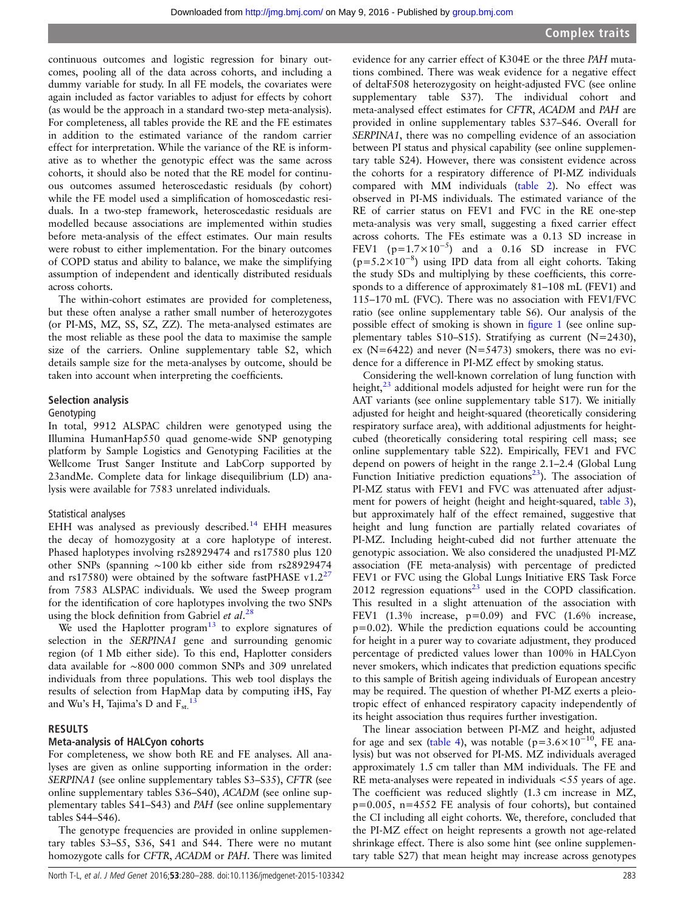continuous outcomes and logistic regression for binary outcomes, pooling all of the data across cohorts, and including a dummy variable for study. In all FE models, the covariates were again included as factor variables to adjust for effects by cohort (as would be the approach in a standard two-step meta-analysis). For completeness, all tables provide the RE and the FE estimates in addition to the estimated variance of the random carrier effect for interpretation. While the variance of the RE is informative as to whether the genotypic effect was the same across cohorts, it should also be noted that the RE model for continuous outcomes assumed heteroscedastic residuals (by cohort) while the FE model used a simplification of homoscedastic residuals. In a two-step framework, heteroscedastic residuals are modelled because associations are implemented within studies before meta-analysis of the effect estimates. Our main results were robust to either implementation. For the binary outcomes of COPD status and ability to balance, we make the simplifying assumption of independent and identically distributed residuals across cohorts.

The within-cohort estimates are provided for completeness, but these often analyse a rather small number of heterozygotes (or PI-MS, MZ, SS, SZ, ZZ). The meta-analysed estimates are the most reliable as these pool the data to maximise the sample size of the carriers. Online supplementary table S2, which details sample size for the meta-analyses by outcome, should be taken into account when interpreting the coefficients.

#### Selection analysis

#### Genotyping

In total, 9912 ALSPAC children were genotyped using the Illumina HumanHap550 quad genome-wide SNP genotyping platform by Sample Logistics and Genotyping Facilities at the Wellcome Trust Sanger Institute and LabCorp supported by 23andMe. Complete data for linkage disequilibrium (LD) analysis were available for 7583 unrelated individuals.

#### Statistical analyses

EHH was analysed as previously described.<sup>[14](#page-7-0)</sup> EHH measures the decay of homozygosity at a core haplotype of interest. Phased haplotypes involving rs28929474 and rs17580 plus 120 other SNPs (spanning ∼100 kb either side from rs28929474 and rs17580) were obtained by the software fast PHASE v1.2<sup>27</sup> from 7583 ALSPAC individuals. We used the Sweep program for the identification of core haplotypes involving the two SNPs using the block definition from Gabriel et  $al.^{28}$  $al.^{28}$  $al.^{28}$ 

We used the Haplotter program $13$  to explore signatures of selection in the SERPINA1 gene and surrounding genomic region (of 1 Mb either side). To this end, Haplotter considers data available for ∼800 000 common SNPs and 309 unrelated individuals from three populations. This web tool displays the results of selection from HapMap data by computing iHS, Fay and Wu's H, Tajima's D and  $F_{st.}$ <sup>1</sup>

#### RESULTS

#### Meta-analysis of HALCyon cohorts

For completeness, we show both RE and FE analyses. All analyses are given as online supporting information in the order: SERPINA1 (see online supplementary tables S3–S35), CFTR (see online supplementary tables S36–S40), ACADM (see online supplementary tables S41–S43) and PAH (see online supplementary tables S44–S46).

The genotype frequencies are provided in online supplementary tables S3–S5, S36, S41 and S44. There were no mutant homozygote calls for CFTR, ACADM or PAH. There was limited

evidence for any carrier effect of K304E or the three PAH mutations combined. There was weak evidence for a negative effect of deltaF508 heterozygosity on height-adjusted FVC (see online supplementary table S37). The individual cohort and meta-analysed effect estimates for CFTR, ACADM and PAH are provided in online supplementary tables S37–S46. Overall for SERPINA1, there was no compelling evidence of an association between PI status and physical capability (see online supplementary table S24). However, there was consistent evidence across the cohorts for a respiratory difference of PI-MZ individuals compared with MM individuals [\(table 2](#page-4-0)). No effect was observed in PI-MS individuals. The estimated variance of the RE of carrier status on FEV1 and FVC in the RE one-step meta-analysis was very small, suggesting a fixed carrier effect across cohorts. The FEs estimate was a 0.13 SD increase in FEV1 ( $p=1.7\times10^{-5}$ ) and a 0.16 SD increase in FVC (p=5.2×10−<sup>8</sup> ) using IPD data from all eight cohorts. Taking the study SDs and multiplying by these coefficients, this corresponds to a difference of approximately 81–108 mL (FEV1) and 115–170 mL (FVC). There was no association with FEV1/FVC ratio (see online supplementary table S6). Our analysis of the possible effect of smoking is shown in fi[gure 1](#page-4-0) (see online supplementary tables S10–S15). Stratifying as current (N=2430), ex ( $N=6422$ ) and never ( $N=5473$ ) smokers, there was no evidence for a difference in PI-MZ effect by smoking status.

Considering the well-known correlation of lung function with height, $23$  additional models adjusted for height were run for the AAT variants (see online supplementary table S17). We initially adjusted for height and height-squared (theoretically considering respiratory surface area), with additional adjustments for heightcubed (theoretically considering total respiring cell mass; see online supplementary table S22). Empirically, FEV1 and FVC depend on powers of height in the range 2.1–2.4 (Global Lung Function Initiative prediction equations<sup>[23](#page-8-0)</sup>). The association of PI-MZ status with FEV1 and FVC was attenuated after adjustment for powers of height (height and height-squared, [table 3\)](#page-5-0), but approximately half of the effect remained, suggestive that height and lung function are partially related covariates of PI-MZ. Including height-cubed did not further attenuate the genotypic association. We also considered the unadjusted PI-MZ association (FE meta-analysis) with percentage of predicted FEV1 or FVC using the Global Lungs Initiative ERS Task Force 2012 regression equations $23$  used in the COPD classification. This resulted in a slight attenuation of the association with FEV1 (1.3% increase, p=0.09) and FVC (1.6% increase,  $p=0.02$ ). While the prediction equations could be accounting for height in a purer way to covariate adjustment, they produced percentage of predicted values lower than 100% in HALCyon never smokers, which indicates that prediction equations specific to this sample of British ageing individuals of European ancestry may be required. The question of whether PI-MZ exerts a pleiotropic effect of enhanced respiratory capacity independently of its height association thus requires further investigation.

The linear association between PI-MZ and height, adjusted for age and sex ([table 4\)](#page-5-0), was notable ( $p=3.6\times10^{-10}$ , FE analysis) but was not observed for PI-MS. MZ individuals averaged approximately 1.5 cm taller than MM individuals. The FE and RE meta-analyses were repeated in individuals <55 years of age. The coefficient was reduced slightly (1.3 cm increase in MZ, p=0.005, n=4552 FE analysis of four cohorts), but contained the CI including all eight cohorts. We, therefore, concluded that the PI-MZ effect on height represents a growth not age-related shrinkage effect. There is also some hint (see online supplementary table S27) that mean height may increase across genotypes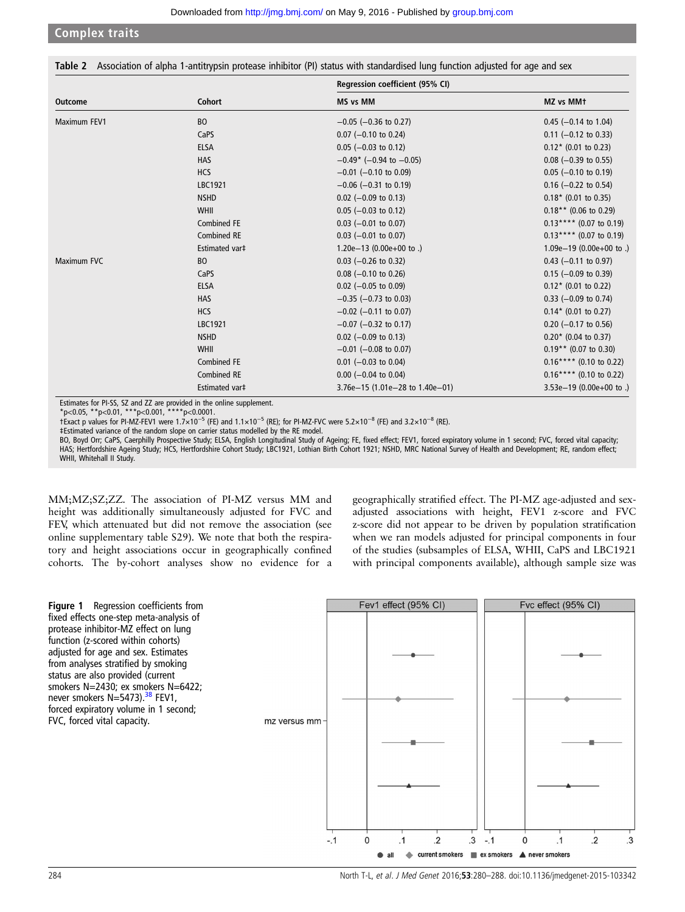## <span id="page-4-0"></span>Complex traits

Table 2 Association of alpha 1-antitrypsin protease inhibitor (PI) status with standardised lung function adjusted for age and sex

|              |                    | Regression coefficient (95% CI)   |                            |
|--------------|--------------------|-----------------------------------|----------------------------|
| Outcome      | Cohort             | MS vs MM                          | MZ vs MMt                  |
| Maximum FEV1 | B <sub>O</sub>     | $-0.05$ ( $-0.36$ to 0.27)        | $0.45$ (-0.14 to 1.04)     |
|              | CaPS               | $0.07$ (-0.10 to 0.24)            | $0.11$ (-0.12 to 0.33)     |
|              | <b>ELSA</b>        | $0.05$ (-0.03 to 0.12)            | $0.12*$ (0.01 to 0.23)     |
|              | <b>HAS</b>         | $-0.49*$ (-0.94 to -0.05)         | $0.08$ (-0.39 to 0.55)     |
|              | <b>HCS</b>         | $-0.01$ ( $-0.10$ to 0.09)        | $0.05$ (-0.10 to 0.19)     |
|              | LBC1921            | $-0.06$ ( $-0.31$ to 0.19)        | $0.16$ (-0.22 to 0.54)     |
|              | <b>NSHD</b>        | $0.02$ (-0.09 to 0.13)            | $0.18*$ (0.01 to 0.35)     |
|              | WHII               | $0.05$ (-0.03 to 0.12)            | $0.18**$ (0.06 to 0.29)    |
|              | <b>Combined FE</b> | $0.03$ (-0.01 to 0.07)            | $0.13***$ (0.07 to 0.19)   |
|              | Combined RE        | $0.03$ (-0.01 to 0.07)            | $0.13***$ (0.07 to 0.19)   |
|              | Estimated var‡     | 1.20e-13 (0.00e+00 to.)           | $1.09e-19$ (0.00e+00 to .) |
| Maximum FVC  | B <sub>O</sub>     | $0.03$ (-0.26 to 0.32)            | $0.43$ (-0.11 to 0.97)     |
|              | CaPS               | $0.08$ (-0.10 to 0.26)            | $0.15$ (-0.09 to 0.39)     |
|              | <b>ELSA</b>        | $0.02$ (-0.05 to 0.09)            | $0.12*$ (0.01 to 0.22)     |
|              | <b>HAS</b>         | $-0.35$ ( $-0.73$ to 0.03)        | $0.33$ (-0.09 to 0.74)     |
|              | <b>HCS</b>         | $-0.02$ ( $-0.11$ to 0.07)        | $0.14*$ (0.01 to 0.27)     |
|              | LBC1921            | $-0.07$ ( $-0.32$ to 0.17)        | $0.20$ (-0.17 to 0.56)     |
|              | <b>NSHD</b>        | $0.02$ (-0.09 to 0.13)            | $0.20*$ (0.04 to 0.37)     |
|              | WHII               | $-0.01$ ( $-0.08$ to 0.07)        | $0.19**$ (0.07 to 0.30)    |
|              | Combined FE        | $0.01$ (-0.03 to 0.04)            | $0.16***$ (0.10 to 0.22)   |
|              | <b>Combined RE</b> | $0.00$ (-0.04 to 0.04)            | $0.16***$ (0.10 to 0.22)   |
|              | Estimated var‡     | $3.76e-15$ (1.01e-28 to 1.40e-01) | $3.53e-19$ (0.00e+00 to .) |

Estimates for PI-SS, SZ and ZZ are provided in the online supplement.

\*p<0.05, \*\*p<0.01, \*\*\*p<0.001, \*\*\*\*p<0.0001.

†Exact p values for PI-MZ-FEV1 were 1.7×10−<sup>5</sup> (FE) and 1.1×10−<sup>5</sup> (RE); for PI-MZ-FVC were 5.2×10−<sup>8</sup> (FE) and 3.2×10−<sup>8</sup> (RE). ‡Estimated variance of the random slope on carrier status modelled by the RE model.

BO, Boyd Orr; CaPS, Caerphilly Prospective Study; ELSA, English Longitudinal Study of Ageing; FE, fixed effect; FEV1, forced expiratory volume in 1 second; FVC, forced vital capacity; HAS; Hertfordshire Ageing Study; HCS, Hertfordshire Cohort Study; LBC1921, Lothian Birth Cohort 1921; NSHD, MRC National Survey of Health and Development; RE, random effect; WHII, Whitehall II Study.

MM;MZ;SZ;ZZ. The association of PI-MZ versus MM and height was additionally simultaneously adjusted for FVC and FEV, which attenuated but did not remove the association (see online supplementary table S29). We note that both the respiratory and height associations occur in geographically confined cohorts. The by-cohort analyses show no evidence for a geographically stratified effect. The PI-MZ age-adjusted and sexadjusted associations with height, FEV1 z-score and FVC z-score did not appear to be driven by population stratification when we ran models adjusted for principal components in four of the studies (subsamples of ELSA, WHII, CaPS and LBC1921 with principal components available), although sample size was

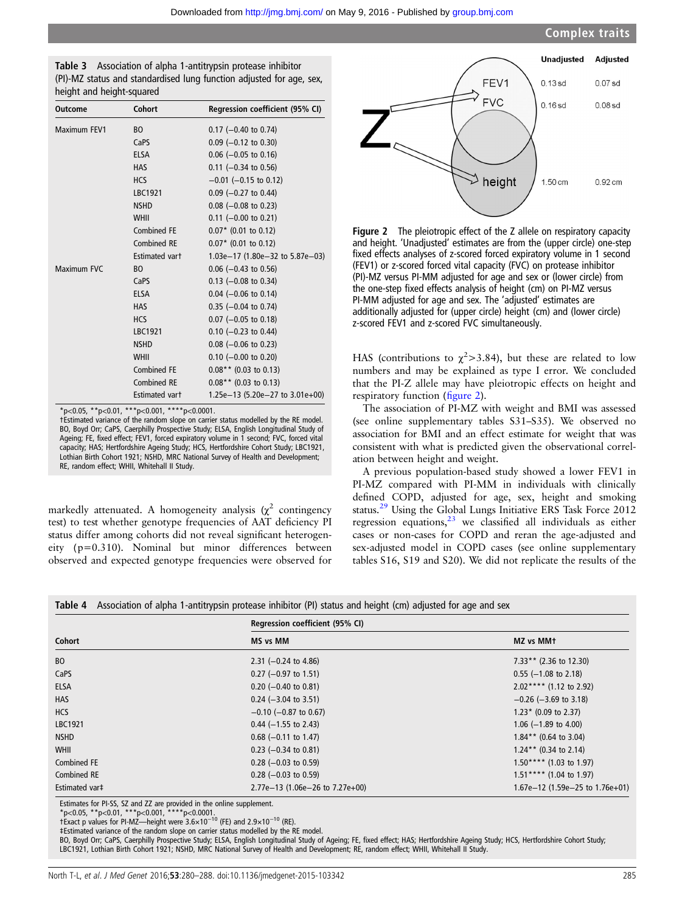| <b>Outcome</b>      | Cohort                | Regression coefficient (95% CI) |
|---------------------|-----------------------|---------------------------------|
| <b>Maximum FEV1</b> | BO.                   | $0.17$ (-0.40 to 0.74)          |
|                     | CaPS                  | $0.09$ (-0.12 to 0.30)          |
|                     | <b>ELSA</b>           | $0.06$ (-0.05 to 0.16)          |
|                     | <b>HAS</b>            | $0.11$ (-0.34 to 0.56)          |
|                     | <b>HCS</b>            | $-0.01$ ( $-0.15$ to 0.12)      |
|                     | LBC1921               | $0.09$ (-0.27 to 0.44)          |
|                     | <b>NSHD</b>           | $0.08$ (-0.08 to 0.23)          |
|                     | WHII                  | $0.11$ (-0.00 to 0.21)          |
|                     | <b>Combined FE</b>    | $0.07*$ (0.01 to 0.12)          |
|                     | <b>Combined RE</b>    | $0.07*$ (0.01 to 0.12)          |
|                     | Estimated vart        | 1.03e-17 (1.80e-32 to 5.87e-03) |
| Maximum FVC         | B <sub>O</sub>        | $0.06$ (-0.43 to 0.56)          |
|                     | CaPS                  | $0.13$ (-0.08 to 0.34)          |
|                     | <b>ELSA</b>           | $0.04$ (-0.06 to 0.14)          |
|                     | <b>HAS</b>            | $0.35$ (-0.04 to 0.74)          |
|                     | <b>HCS</b>            | $0.07$ (-0.05 to 0.18)          |
|                     | LBC1921               | $0.10$ (-0.23 to 0.44)          |
|                     | <b>NSHD</b>           | $0.08$ (-0.06 to 0.23)          |
|                     | <b>WHII</b>           | $0.10$ (-0.00 to 0.20)          |
|                     | Combined FE           | $0.08**$ (0.03 to 0.13)         |
|                     | <b>Combined RE</b>    | $0.08**$ (0.03 to 0.13)         |
|                     | <b>Estimated vart</b> | 1.25e-13 (5.20e-27 to 3.01e+00) |

<span id="page-5-0"></span>Table 3 Association of alpha 1-antitrypsin protease inhibitor (PI)-MZ status and standardised lung function adjusted for age, sex, height and height-squared

\*p<0.05, \*\*p<0.01, \*\*\*p<0.001, \*\*\*\*p<0.0001.

†Estimated variance of the random slope on carrier status modelled by the RE model. BO, Boyd Orr; CaPS, Caerphilly Prospective Study; ELSA, English Longitudinal Study of Ageing; FE, fixed effect; FEV1, forced expiratory volume in 1 second; FVC, forced vital capacity; HAS; Hertfordshire Ageing Study; HCS, Hertfordshire Cohort Study; LBC1921, Lothian Birth Cohort 1921; NSHD, MRC National Survey of Health and Development; RE, random effect; WHII, Whitehall II Study.

markedly attenuated. A homogeneity analysis  $(\chi^2$  contingency test) to test whether genotype frequencies of AAT deficiency PI status differ among cohorts did not reveal significant heterogeneity (p=0.310). Nominal but minor differences between observed and expected genotype frequencies were observed for



Figure 2 The pleiotropic effect of the Z allele on respiratory capacity and height. 'Unadjusted' estimates are from the (upper circle) one-step fixed effects analyses of z-scored forced expiratory volume in 1 second (FEV1) or z-scored forced vital capacity (FVC) on protease inhibitor (PI)-MZ versus PI-MM adjusted for age and sex or (lower circle) from the one-step fixed effects analysis of height (cm) on PI-MZ versus PI-MM adjusted for age and sex. The 'adjusted' estimates are additionally adjusted for (upper circle) height (cm) and (lower circle) z-scored FEV1 and z-scored FVC simultaneously.

HAS (contributions to  $\chi^2$ >3.84), but these are related to low numbers and may be explained as type I error. We concluded that the PI-Z allele may have pleiotropic effects on height and respiratory function (figure 2).

The association of PI-MZ with weight and BMI was assessed (see online supplementary tables S31–S35). We observed no association for BMI and an effect estimate for weight that was consistent with what is predicted given the observational correlation between height and weight.

A previous population-based study showed a lower FEV1 in PI-MZ compared with PI-MM in individuals with clinically defined COPD, adjusted for age, sex, height and smoking status.[29](#page-8-0) Using the Global Lungs Initiative ERS Task Force 2012 regression equations,[23](#page-8-0) we classified all individuals as either cases or non-cases for COPD and reran the age-adjusted and sex-adjusted model in COPD cases (see online supplementary tables S16, S19 and S20). We did not replicate the results of the

Table 4 Association of alpha 1-antitrypsin protease inhibitor (PI) status and height (cm) adjusted for age and sex

|                    | Regression coefficient (95% CI)           |                                   |  |
|--------------------|-------------------------------------------|-----------------------------------|--|
| Cohort             | MS vs MM                                  | MZ vs MM+                         |  |
| <b>BO</b>          | 2.31 $(-0.24$ to 4.86)                    | $7.33**$ (2.36 to 12.30)          |  |
| CaPS               | $0.27$ (-0.97 to 1.51)                    | $0.55$ (-1.08 to 2.18)            |  |
| <b>ELSA</b>        | $0.20$ (-0.40 to 0.81)                    | $2.02***$ (1.12 to 2.92)          |  |
| <b>HAS</b>         | $0.24$ (-3.04 to 3.51)                    | $-0.26$ ( $-3.69$ to 3.18)        |  |
| <b>HCS</b>         | $-0.10$ ( $-0.87$ to 0.67)                | $1.23*$ (0.09 to 2.37)            |  |
| LBC1921            | $0.44$ (-1.55 to 2.43)                    | 1.06 $(-1.89$ to 4.00)            |  |
| <b>NSHD</b>        | $0.68$ (-0.11 to 1.47)                    | $1.84**$ (0.64 to 3.04)           |  |
| <b>WHII</b>        | $0.23$ (-0.34 to 0.81)                    | $1.24***$ (0.34 to 2.14)          |  |
| <b>Combined FE</b> | $0.28$ (-0.03 to 0.59)                    | $1.50***$ (1.03 to 1.97)          |  |
| <b>Combined RE</b> | $0.28$ (-0.03 to 0.59)                    | $1.51***$ (1.04 to 1.97)          |  |
| Estimated var‡     | 2.77e $-13$ (1.06e $-26$ to 7.27e $+00$ ) | $1.67e-12$ (1.59e-25 to 1.76e+01) |  |

Estimates for PI-SS, SZ and ZZ are provided in the online supplement.<br>\*p<0.05, \*\*p<0.01, \*\*\*p<0.001, \*\*\*\*p<0.0001.<br>†Exact p values for PI-MZ—height were 3.6×10<sup>−10</sup> (FE) and 2.9×10<sup>−10</sup> (RE).

‡Estimated variance of the random slope on carrier status modelled by the RE model.

BO, Boyd Orr; CaPS, Caerphilly Prospective Study; ELSA, English Longitudinal Study of Ageing; FE, fixed effect; HAS; Hertfordshire Ageing Study; HCS, Hertfordshire Cohort Study; LBC1921, Lothian Birth Cohort 1921; NSHD, MRC National Survey of Health and Development; RE, random effect; WHII, Whitehall II Study.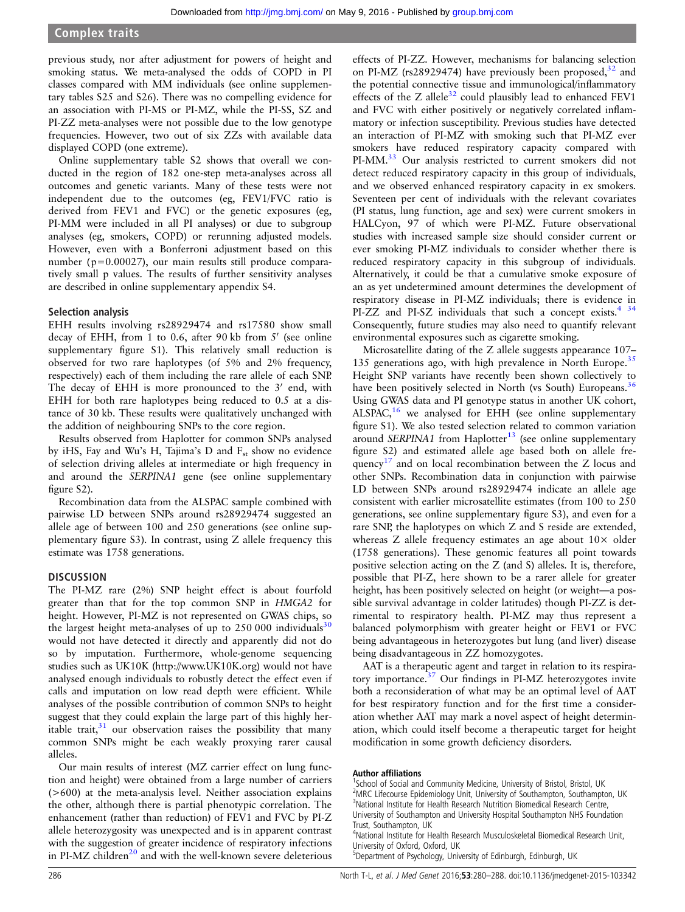## Complex traits

previous study, nor after adjustment for powers of height and smoking status. We meta-analysed the odds of COPD in PI classes compared with MM individuals (see online supplementary tables S25 and S26). There was no compelling evidence for an association with PI-MS or PI-MZ, while the PI-SS, SZ and PI-ZZ meta-analyses were not possible due to the low genotype frequencies. However, two out of six ZZs with available data displayed COPD (one extreme).

Online supplementary table S2 shows that overall we conducted in the region of 182 one-step meta-analyses across all outcomes and genetic variants. Many of these tests were not independent due to the outcomes (eg, FEV1/FVC ratio is derived from FEV1 and FVC) or the genetic exposures (eg, PI-MM were included in all PI analyses) or due to subgroup analyses (eg, smokers, COPD) or rerunning adjusted models. However, even with a Bonferroni adjustment based on this number (p=0.00027), our main results still produce comparatively small p values. The results of further sensitivity analyses are described in online supplementary appendix S4.

#### Selection analysis

EHH results involving rs28929474 and rs17580 show small decay of EHH, from 1 to 0.6, after 90 kb from  $5'$  (see online supplementary figure S1). This relatively small reduction is observed for two rare haplotypes (of 5% and 2% frequency, respectively) each of them including the rare allele of each SNP. The decay of EHH is more pronounced to the  $3'$  end, with EHH for both rare haplotypes being reduced to 0.5 at a distance of 30 kb. These results were qualitatively unchanged with the addition of neighbouring SNPs to the core region.

Results observed from Haplotter for common SNPs analysed by iHS, Fay and Wu's H, Tajima's D and  $F_{st}$  show no evidence of selection driving alleles at intermediate or high frequency in and around the SERPINA1 gene (see online supplementary figure S2).

Recombination data from the ALSPAC sample combined with pairwise LD between SNPs around rs28929474 suggested an allele age of between 100 and 250 generations (see online supplementary figure S3). In contrast, using Z allele frequency this estimate was 1758 generations.

#### **DISCUSSION**

The PI-MZ rare (2%) SNP height effect is about fourfold greater than that for the top common SNP in HMGA2 for height. However, PI-MZ is not represented on GWAS chips, so the largest height meta-analyses of up to  $250000$  individuals<sup>30</sup> would not have detected it directly and apparently did not do so by imputation. Furthermore, whole-genome sequencing studies such as UK10K [\(http://www.UK10K.org](http://www.UK10K.org)) would not have analysed enough individuals to robustly detect the effect even if calls and imputation on low read depth were efficient. While analyses of the possible contribution of common SNPs to height suggest that they could explain the large part of this highly heritable trait, $31$  our observation raises the possibility that many common SNPs might be each weakly proxying rarer causal alleles.

Our main results of interest (MZ carrier effect on lung function and height) were obtained from a large number of carriers (>600) at the meta-analysis level. Neither association explains the other, although there is partial phenotypic correlation. The enhancement (rather than reduction) of FEV1 and FVC by PI-Z allele heterozygosity was unexpected and is in apparent contrast with the suggestion of greater incidence of respiratory infections in PI-MZ children<sup>20</sup> and with the well-known severe deleterious

effects of PI-ZZ. However, mechanisms for balancing selection on PI-MZ ( $rs28929474$ ) have previously been proposed,  $32$  and the potential connective tissue and immunological/inflammatory effects of the Z allele<sup>[32](#page-8-0)</sup> could plausibly lead to enhanced FEV1 and FVC with either positively or negatively correlated inflammatory or infection susceptibility. Previous studies have detected an interaction of PI-MZ with smoking such that PI-MZ ever smokers have reduced respiratory capacity compared with PI-MM.<sup>[33](#page-8-0)</sup> Our analysis restricted to current smokers did not detect reduced respiratory capacity in this group of individuals, and we observed enhanced respiratory capacity in ex smokers. Seventeen per cent of individuals with the relevant covariates (PI status, lung function, age and sex) were current smokers in HALCyon, 97 of which were PI-MZ. Future observational studies with increased sample size should consider current or ever smoking PI-MZ individuals to consider whether there is reduced respiratory capacity in this subgroup of individuals. Alternatively, it could be that a cumulative smoke exposure of an as yet undetermined amount determines the development of respiratory disease in PI-MZ individuals; there is evidence in PI-ZZ and PI-SZ individuals that such a concept exists.<sup>[4](#page-7-0) [34](#page-8-0)</sup> Consequently, future studies may also need to quantify relevant environmental exposures such as cigarette smoking.

Microsatellite dating of the Z allele suggests appearance 107– 1[35](#page-8-0) generations ago, with high prevalence in North Europe.<sup>35</sup> Height SNP variants have recently been shown collectively to have been positively selected in North (vs South) Europeans.<sup>[36](#page-8-0)</sup> Using GWAS data and PI genotype status in another UK cohort, ALSPAC,[16](#page-7-0) we analysed for EHH (see online supplementary figure S1). We also tested selection related to common variation around SERPINA1 from Haplotter<sup>[13](#page-7-0)</sup> (see online supplementary figure S2) and estimated allele age based both on allele fre-quency<sup>[17](#page-7-0)</sup> and on local recombination between the Z locus and other SNPs. Recombination data in conjunction with pairwise LD between SNPs around rs28929474 indicate an allele age consistent with earlier microsatellite estimates (from 100 to 250 generations, see online supplementary figure S3), and even for a rare SNP, the haplotypes on which Z and S reside are extended, whereas Z allele frequency estimates an age about  $10\times$  older (1758 generations). These genomic features all point towards positive selection acting on the Z (and S) alleles. It is, therefore, possible that PI-Z, here shown to be a rarer allele for greater height, has been positively selected on height (or weight—a possible survival advantage in colder latitudes) though PI-ZZ is detrimental to respiratory health. PI-MZ may thus represent a balanced polymorphism with greater height or FEV1 or FVC being advantageous in heterozygotes but lung (and liver) disease being disadvantageous in ZZ homozygotes.

AAT is a therapeutic agent and target in relation to its respira-tory importance.<sup>[37](#page-8-0)</sup> Our findings in PI-MZ heterozygotes invite both a reconsideration of what may be an optimal level of AAT for best respiratory function and for the first time a consideration whether AAT may mark a novel aspect of height determination, which could itself become a therapeutic target for height modification in some growth deficiency disorders.

#### Author affiliations <sup>1</sup>

4 National Institute for Health Research Musculoskeletal Biomedical Research Unit, University of Oxford, Oxford, UK

5 Department of Psychology, University of Edinburgh, Edinburgh, UK

<sup>&</sup>lt;sup>1</sup>School of Social and Community Medicine, University of Bristol, Bristol, UK <sup>2</sup>MRC Lifecourse Epidemiology Unit, University of Southampton, Southampton, UK <sup>3</sup>National Institute for Health Research Nutrition Biomedical Research Centre, University of Southampton and University Hospital Southampton NHS Foundation Trust, Southampton, UK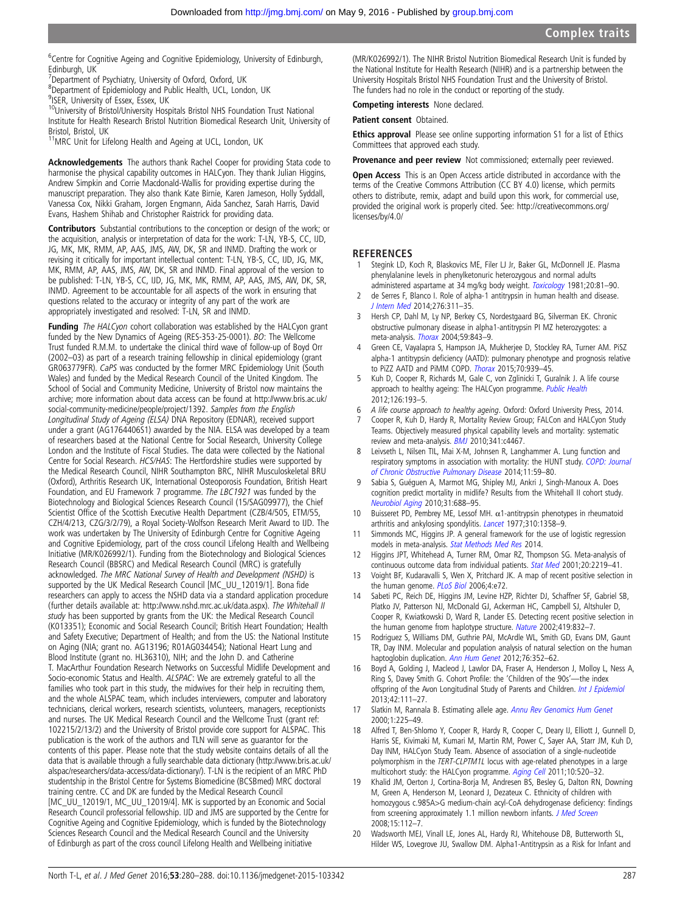<span id="page-7-0"></span><sup>6</sup>Centre for Cognitive Ageing and Cognitive Epidemiology, University of Edinburgh, Edinburgh, UK

<sup>7</sup> Department of Psychiatry, University of Oxford, Oxford, UK

8 Department of Epidemiology and Public Health, UCL, London, UK <sup>9</sup>ISER, University of Essex, Essex, UK

<sup>10</sup>University of Bristol/University Hospitals Bristol NHS Foundation Trust National Institute for Health Research Bristol Nutrition Biomedical Research Unit, University of Bristol, Bristol, UK

<sup>11</sup>MRC Unit for Lifelong Health and Ageing at UCL, London, UK

Acknowledgements The authors thank Rachel Cooper for providing Stata code to harmonise the physical capability outcomes in HALCyon. They thank Julian Higgins, Andrew Simpkin and Corrie Macdonald-Wallis for providing expertise during the manuscript preparation. They also thank Kate Birnie, Karen Jameson, Holly Syddall, Vanessa Cox, Nikki Graham, Jorgen Engmann, Aida Sanchez, Sarah Harris, David Evans, Hashem Shihab and Christopher Raistrick for providing data.

Contributors Substantial contributions to the conception or design of the work; or the acquisition, analysis or interpretation of data for the work: T-LN, YB-S, CC, IJD, JG, MK, MK, RMM, AP, AAS, JMS, AW, DK, SR and INMD. Drafting the work or revising it critically for important intellectual content: T-LN, YB-S, CC, IJD, JG, MK, MK, RMM, AP, AAS, JMS, AW, DK, SR and INMD. Final approval of the version to be published: T-LN, YB-S, CC, IJD, JG, MK, MK, RMM, AP, AAS, JMS, AW, DK, SR, INMD. Agreement to be accountable for all aspects of the work in ensuring that questions related to the accuracy or integrity of any part of the work are appropriately investigated and resolved: T-LN, SR and INMD.

Funding The HALCyon cohort collaboration was established by the HALCyon grant funded by the New Dynamics of Ageing (RES-353-25-0001). BO: The Wellcome Trust funded R.M.M. to undertake the clinical third wave of follow-up of Boyd Orr (2002–03) as part of a research training fellowship in clinical epidemiology (grant GR063779FR). CaPS was conducted by the former MRC Epidemiology Unit (South Wales) and funded by the Medical Research Council of the United Kingdom. The School of Social and Community Medicine, University of Bristol now maintains the archive; more information about data access can be found at [http://www.bris.ac.uk/](http://www.bris.ac.uk/social-community-medicine/people/project/1392) [social-community-medicine/people/project/1392](http://www.bris.ac.uk/social-community-medicine/people/project/1392). Samples from the English Longitudinal Study of Ageing (ELSA) DNA Repository (EDNAR), received support under a grant (AG1764406S1) awarded by the NIA. ELSA was developed by a team of researchers based at the National Centre for Social Research, University College London and the Institute of Fiscal Studies. The data were collected by the National Centre for Social Research. HCS/HAS: The Hertfordshire studies were supported by the Medical Research Council, NIHR Southampton BRC, NIHR Musculoskeletal BRU (Oxford), Arthritis Research UK, International Osteoporosis Foundation, British Heart Foundation, and EU Framework 7 programme. The LBC1921 was funded by the Biotechnology and Biological Sciences Research Council (15/SAG09977), the Chief Scientist Office of the Scottish Executive Health Department (CZB/4/505, ETM/55, CZH/4/213, CZG/3/2/79), a Royal Society-Wolfson Research Merit Award to IJD. The work was undertaken by The University of Edinburgh Centre for Cognitive Ageing and Cognitive Epidemiology, part of the cross council Lifelong Health and Wellbeing Initiative (MR/K026992/1). Funding from the Biotechnology and Biological Sciences Research Council (BBSRC) and Medical Research Council (MRC) is gratefully acknowledged. The MRC National Survey of Health and Development (NSHD) is supported by the UK Medical Research Council [MC\_UU\_12019/1]. Bona fide researchers can apply to access the NSHD data via a standard application procedure (further details available at: [http://www.nshd.mrc.ac.uk/data.aspx\)](http://www.nshd.mrc.ac.uk/data.aspx). The Whitehall II study has been supported by grants from the UK: the Medical Research Council (K013351); Economic and Social Research Council; British Heart Foundation; Health and Safety Executive; Department of Health; and from the US: the National Institute on Aging (NIA; grant no. AG13196; R01AG034454); National Heart Lung and Blood Institute (grant no. HL36310), NIH; and the John D. and Catherine T. MacArthur Foundation Research Networks on Successful Midlife Development and Socio-economic Status and Health. ALSPAC: We are extremely grateful to all the families who took part in this study, the midwives for their help in recruiting them, and the whole ALSPAC team, which includes interviewers, computer and laboratory technicians, clerical workers, research scientists, volunteers, managers, receptionists and nurses. The UK Medical Research Council and the Wellcome Trust (grant ref: 102215/2/13/2) and the University of Bristol provide core support for ALSPAC. This publication is the work of the authors and TLN will serve as guarantor for the contents of this paper. Please note that the study website contains details of all the data that is available through a fully searchable data dictionary ([http://www.bris.ac.uk/](http://www.bris.ac.uk/alspac/researchers/data-access/data-dictionary/) [alspac/researchers/data-access/data-dictionary/\)](http://www.bris.ac.uk/alspac/researchers/data-access/data-dictionary/). T-LN is the recipient of an MRC PhD studentship in the Bristol Centre for Systems Biomedicine (BCSBmed) MRC doctoral training centre. CC and DK are funded by the Medical Research Council [MC\_UU\_12019/1, MC\_UU\_12019/4]. MK is supported by an Economic and Social Research Council professorial fellowship. IJD and JMS are supported by the Centre for Cognitive Ageing and Cognitive Epidemiology, which is funded by the Biotechnology Sciences Research Council and the Medical Research Council and the University of Edinburgh as part of the cross council Lifelong Health and Wellbeing initiative

(MR/K026992/1). The NIHR Bristol Nutrition Biomedical Research Unit is funded by the National Institute for Health Research (NIHR) and is a partnership between the University Hospitals Bristol NHS Foundation Trust and the University of Bristol. The funders had no role in the conduct or reporting of the study.

Competing interests None declared.

Patient consent Obtained.

Ethics approval Please see online supporting information S1 for a list of Ethics Committees that approved each study.

Provenance and peer review Not commissioned; externally peer reviewed.

Open Access This is an Open Access article distributed in accordance with the terms of the Creative Commons Attribution (CC BY 4.0) license, which permits others to distribute, remix, adapt and build upon this work, for commercial use, provided the original work is properly cited. See: [http://creativecommons.org/](http://creativecommons.org/licenses/by/4.0/) [licenses/by/4.0/](http://creativecommons.org/licenses/by/4.0/)

#### **REFERENCES**

- Stegink LD, Koch R, Blaskovics ME, Filer LJ Jr, Baker GL, McDonnell JE. Plasma phenylalanine levels in phenylketonuric heterozygous and normal adults administered aspartame at 34 mg/kg body weight. [Toxicology](http://dx.doi.org/10.1016/0300-483X(81)90108-6) 1981;20:81-90.
- 2 de Serres F, Blanco I. Role of alpha-1 antitrypsin in human health and disease. [J Intern Med](http://dx.doi.org/10.1111/joim.12239) 2014;276:311–35.
- 3 Hersh CP, Dahl M, Ly NP, Berkey CS, Nordestgaard BG, Silverman EK. Chronic obstructive pulmonary disease in alpha1-antitrypsin PI MZ heterozygotes: a meta-analysis. [Thorax](http://dx.doi.org/10.1136/thx.2004.022541) 2004;59:843–9.
- Green CE, Vayalapra S, Hampson JA, Mukherjee D, Stockley RA, Turner AM. PiSZ alpha-1 antitrypsin deficiency (AATD): pulmonary phenotype and prognosis relative to PiZZ AATD and PiMM COPD. [Thorax](http://dx.doi.org/10.1136/thoraxjnl-2015-206906) 2015;70:939-45.
- 5 Kuh D, Cooper R, Richards M, Gale C, von Zglinicki T, Guralnik J. A life course approach to healthy ageing: The HALCyon programme. [Public Health](http://dx.doi.org/10.1016/j.puhe.2012.01.025) 2012;126:193–5.
- 6 A life course approach to healthy ageing. Oxford: Oxford University Press, 2014.
- 7 Cooper R, Kuh D, Hardy R, Mortality Review Group; FALCon and HALCyon Study Teams. Objectively measured physical capability levels and mortality: systematic review and meta-analysis. **[BMJ](http://dx.doi.org/10.1136/bmj.c4467)** 2010;341:c4467.
- 8 Leivseth L, Nilsen TIL, Mai X-M, Johnsen R, Langhammer A. Lung function and respiratory symptoms in association with mortality: the HUNT study. [COPD: Journal](http://dx.doi.org/10.3109/15412555.2013.781578) [of Chronic Obstructive Pulmonary Disease](http://dx.doi.org/10.3109/15412555.2013.781578) 2014;11:59–80.
- 9 Sabia S, Guéguen A, Marmot MG, Shipley MJ, Ankri J, Singh-Manoux A. Does cognition predict mortality in midlife? Results from the Whitehall II cohort study. [Neurobiol Aging](http://dx.doi.org/10.1016/j.neurobiolaging.2008.05.007) 2010;31:688–95.
- 10 Buisseret PD, Pembrey ME, Lessof MH.  $\alpha$ 1-antitrypsin phenotypes in rheumatoid arthritis and ankylosing spondylitis. [Lancet](http://dx.doi.org/10.1016/S0140-6736(77)90408-1) 1977;310:1358-9.
- 11 Simmonds MC, Higgins JP. A general framework for the use of logistic regression models in meta-analysis. [Stat Methods Med Res](http://dx.doi.org/10.1177/0962280214534409) 2014.
- 12 Higgins JPT, Whitehead A, Turner RM, Omar RZ, Thompson SG. Meta-analysis of continuous outcome data from individual patients. [Stat Med](http://dx.doi.org/10.1002/sim.918) 2001;20:2219–41.
- 13 Voight BF, Kudaravalli S, Wen X, Pritchard JK. A map of recent positive selection in the human genome. [PLoS Biol](http://dx.doi.org/10.1371/journal.pbio.0040072) 2006;4:e72.
- 14 Sabeti PC, Reich DE, Higgins JM, Levine HZP, Richter DJ, Schaffner SF, Gabriel SB, Platko JV, Patterson NJ, McDonald GJ, Ackerman HC, Campbell SJ, Altshuler D, Cooper R, Kwiatkowski D, Ward R, Lander ES. Detecting recent positive selection in the human genome from haplotype structure. [Nature](http://dx.doi.org/10.1038/nature01140) 2002;419:832-7.
- Rodriguez S, Williams DM, Guthrie PAI, McArdle WL, Smith GD, Evans DM, Gaunt TR, Day INM. Molecular and population analysis of natural selection on the human haptoglobin duplication. [Ann Hum Genet](http://dx.doi.org/10.1111/j.1469-1809.2012.00716.x) 2012;76:352-62.
- 16 Boyd A, Golding J, Macleod J, Lawlor DA, Fraser A, Henderson J, Molloy L, Ness A, Ring S, Davey Smith G. Cohort Profile: the 'Children of the 90s'—the index offspring of the Avon Longitudinal Study of Parents and Children. [Int J Epidemiol](http://dx.doi.org/10.1093/ije/dys064) 2013;42:111–27.
- 17 Slatkin M, Rannala B. Estimating allele age. Annu [Rev Genomics Hum Genet](http://dx.doi.org/10.1146/annurev.genom.1.1.225) 2000;1:225–49.
- 18 Alfred T, Ben-Shlomo Y, Cooper R, Hardy R, Cooper C, Deary IJ, Elliott J, Gunnell D, Harris SE, Kivimaki M, Kumari M, Martin RM, Power C, Sayer AA, Starr JM, Kuh D, Day INM, HALCyon Study Team. Absence of association of a single-nucleotide polymorphism in the TERT-CLPTM1L locus with age-related phenotypes in a large multicohort study: the HALCyon programme. [Aging Cell](http://dx.doi.org/10.1111/j.1474-9726.2011.00687.x) 2011;10:520-32.
- 19 Khalid JM, Oerton J, Cortina-Borja M, Andresen BS, Besley G, Dalton RN, Downing M, Green A, Henderson M, Leonard J, Dezateux C. Ethnicity of children with homozygous c.985A>G medium-chain acyl-CoA dehydrogenase deficiency: findings from screening approximately 1.1 million newborn infants. [J Med Screen](http://dx.doi.org/10.1258/jms.2008.008043) 2008;15:112–7.
- 20 Wadsworth MEJ, Vinall LE, Jones AL, Hardy RJ, Whitehouse DB, Butterworth SL, Hilder WS, Lovegrove JU, Swallow DM. Alpha1-Antitrypsin as a Risk for Infant and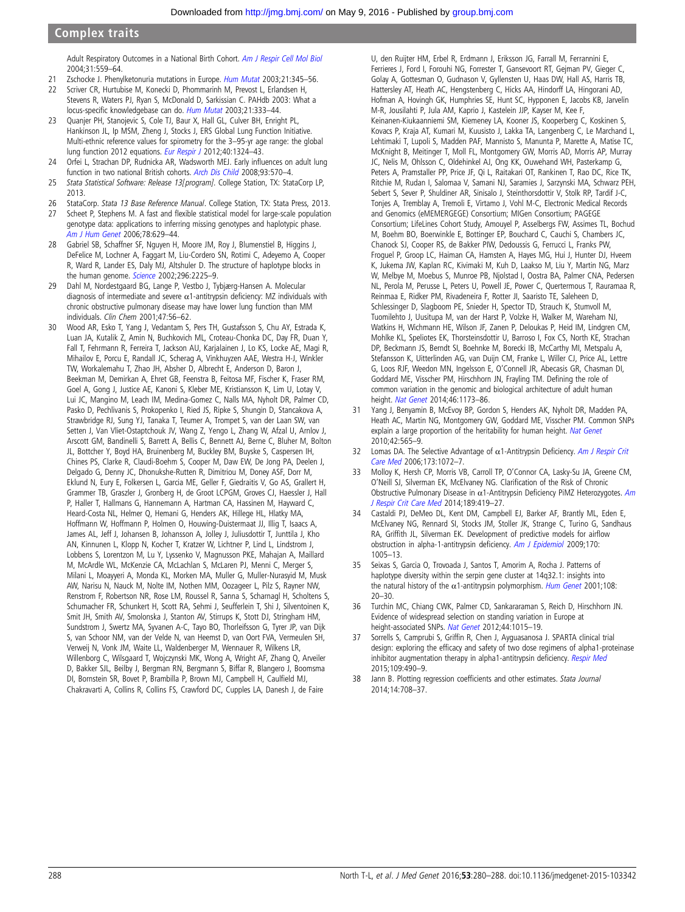<span id="page-8-0"></span>Adult Respiratory Outcomes in a National Birth Cohort. [Am J Respir Cell Mol Biol](http://dx.doi.org/10.1165/rcmb.2004-0027OC) 2004;31:559–64.

- 21 Zschocke J. Phenylketonuria mutations in Europe. *[Hum Mutat](http://dx.doi.org/10.1002/humu.10192)* 2003;21:345–56.<br>22 Scriver CR. Hurtubise M. Konecki D. Phommarinh M. Prevost L. Erlandsen H.
- Scriver CR, Hurtubise M, Konecki D, Phommarinh M, Prevost L, Erlandsen H, Stevens R, Waters PJ, Ryan S, McDonald D, Sarkissian C. PAHdb 2003: What a locus-specific knowledgebase can do. [Hum Mutat](http://dx.doi.org/10.1002/humu.10200) 2003;21:333-44.
- 23 Quanjer PH, Stanojevic S, Cole TJ, Baur X, Hall GL, Culver BH, Enright PL, Hankinson JL, Ip MSM, Zheng J, Stocks J, ERS Global Lung Function Initiative. Multi-ethnic reference values for spirometry for the 3–95-yr age range: the global lung function 2012 equations. [Eur Respir J](http://dx.doi.org/10.1183/09031936.00080312) 2012;40:1324-43.
- 24 Orfei L, Strachan DP, Rudnicka AR, Wadsworth MEJ. Early influences on adult lung function in two national British cohorts. [Arch Dis Child](http://dx.doi.org/10.1136/adc.2006.112201) 2008;93:570–4.
- 25 Stata Statistical Software: Release 13[program]. College Station, TX: StataCorp LP, 2013.
- 26 StataCorp. Stata 13 Base Reference Manual. College Station, TX: Stata Press, 2013.
- 27 Scheet P, Stephens M. A fast and flexible statistical model for large-scale population genotype data: applications to inferring missing genotypes and haplotypic phase. [Am J Hum Genet](http://dx.doi.org/10.1086/502802) 2006;78:629–44.
- 28 Gabriel SB, Schaffner SF, Nguyen H, Moore JM, Roy J, Blumenstiel B, Higgins J, DeFelice M, Lochner A, Faggart M, Liu-Cordero SN, Rotimi C, Adeyemo A, Cooper R, Ward R, Lander ES, Daly MJ, Altshuler D. The structure of haplotype blocks in the human genome. [Science](http://dx.doi.org/10.1126/science.1069424) 2002;296:2225-9.
- 29 Dahl M, Nordestgaard BG, Lange P, Vestbo J, Tybjærg-Hansen A. Molecular diagnosis of intermediate and severe  $\alpha$ 1-antitrypsin deficiency: MZ individuals with chronic obstructive pulmonary disease may have lower lung function than MM individuals. Clin Chem 2001;47:56–62.
- 30 Wood AR, Esko T, Yang J, Vedantam S, Pers TH, Gustafsson S, Chu AY, Estrada K, Luan JA, Kutalik Z, Amin N, Buchkovich ML, Croteau-Chonka DC, Day FR, Duan Y, Fall T, Fehrmann R, Ferreira T, Jackson AU, Karjalainen J, Lo KS, Locke AE, Magi R, Mihailov E, Porcu E, Randall JC, Scherag A, Vinkhuyzen AAE, Westra H-J, Winkler TW, Workalemahu T, Zhao JH, Absher D, Albrecht E, Anderson D, Baron J, Beekman M, Demirkan A, Ehret GB, Feenstra B, Feitosa MF, Fischer K, Fraser RM, Goel A, Gong J, Justice AE, Kanoni S, Kleber ME, Kristiansson K, Lim U, Lotay V, Lui JC, Mangino M, Leach IM, Medina-Gomez C, Nalls MA, Nyholt DR, Palmer CD, Pasko D, Pechlivanis S, Prokopenko I, Ried JS, Ripke S, Shungin D, Stancakova A, Strawbridge RJ, Sung YJ, Tanaka T, Teumer A, Trompet S, van der Laan SW, van Setten J, Van Vliet-Ostaptchouk JV, Wang Z, Yengo L, Zhang W, Afzal U, Arnlov J, Arscott GM, Bandinelli S, Barrett A, Bellis C, Bennett AJ, Berne C, Bluher M, Bolton JL, Bottcher Y, Boyd HA, Bruinenberg M, Buckley BM, Buyske S, Caspersen IH, Chines PS, Clarke R, Claudi-Boehm S, Cooper M, Daw EW, De Jong PA, Deelen J, Delgado G, Denny JC, Dhonukshe-Rutten R, Dimitriou M, Doney ASF, Dorr M, Eklund N, Eury E, Folkersen L, Garcia ME, Geller F, Giedraitis V, Go AS, Grallert H, Grammer TB, Graszler J, Gronberg H, de Groot LCPGM, Groves CJ, Haessler J, Hall P, Haller T, Hallmans G, Hannemann A, Hartman CA, Hassinen M, Hayward C, Heard-Costa NL, Helmer Q, Hemani G, Henders AK, Hillege HL, Hlatky MA, Hoffmann W, Hoffmann P, Holmen O, Houwing-Duistermaat JJ, Illig T, Isaacs A, James AL, Jeff J, Johansen B, Johansson A, Jolley J, Juliusdottir T, Junttila J, Kho AN, Kinnunen L, Klopp N, Kocher T, Kratzer W, Lichtner P, Lind L, Lindstrom J, Lobbens S, Lorentzon M, Lu Y, Lyssenko V, Magnusson PKE, Mahajan A, Maillard M, McArdle WL, McKenzie CA, McLachlan S, McLaren PJ, Menni C, Merger S, Milani L, Moayyeri A, Monda KL, Morken MA, Muller G, Muller-Nurasyid M, Musk AW, Narisu N, Nauck M, Nolte IM, Nothen MM, Oozageer L, Pilz S, Rayner NW, Renstrom F, Robertson NR, Rose LM, Roussel R, Sanna S, Scharnagl H, Scholtens S, Schumacher FR, Schunkert H, Scott RA, Sehmi J, Seufferlein T, Shi J, Silventoinen K, Smit JH, Smith AV, Smolonska J, Stanton AV, Stirrups K, Stott DJ, Stringham HM, Sundstrom J, Swertz MA, Syvanen A-C, Tayo BO, Thorleifsson G, Tyrer JP, van Dijk S, van Schoor NM, van der Velde N, van Heemst D, van Oort FVA, Vermeulen SH, Verweij N, Vonk JM, Waite LL, Waldenberger M, Wennauer R, Wilkens LR, Willenborg C, Wilsgaard T, Wojczynski MK, Wong A, Wright AF, Zhang Q, Arveiler D, Bakker SJL, Beilby J, Bergman RN, Bergmann S, Biffar R, Blangero J, Boomsma DI, Bornstein SR, Bovet P, Brambilla P, Brown MJ, Campbell H, Caulfield MJ, Chakravarti A, Collins R, Collins FS, Crawford DC, Cupples LA, Danesh J, de Faire

U, den Ruijter HM, Erbel R, Erdmann J, Eriksson JG, Farrall M, Ferrannini E, Ferrieres J, Ford I, Forouhi NG, Forrester T, Gansevoort RT, Gejman PV, Gieger C, Golay A, Gottesman O, Gudnason V, Gyllensten U, Haas DW, Hall AS, Harris TB, Hattersley AT, Heath AC, Hengstenberg C, Hicks AA, Hindorff LA, Hingorani AD, Hofman A, Hovingh GK, Humphries SE, Hunt SC, Hypponen E, Jacobs KB, Jarvelin M-R, Jousilahti P, Jula AM, Kaprio J, Kastelein JJP, Kayser M, Kee F, Keinanen-Kiukaanniemi SM, Kiemeney LA, Kooner JS, Kooperberg C, Koskinen S, Kovacs P, Kraja AT, Kumari M, Kuusisto J, Lakka TA, Langenberg C, Le Marchand L, Lehtimaki T, Lupoli S, Madden PAF, Mannisto S, Manunta P, Marette A, Matise TC, McKnight B, Meitinger T, Moll FL, Montgomery GW, Morris AD, Morris AP, Murray JC, Nelis M, Ohlsson C, Oldehinkel AJ, Ong KK, Ouwehand WH, Pasterkamp G, Peters A, Pramstaller PP, Price JF, Qi L, Raitakari OT, Rankinen T, Rao DC, Rice TK, Ritchie M, Rudan I, Salomaa V, Samani NJ, Saramies J, Sarzynski MA, Schwarz PEH, Sebert S, Sever P, Shuldiner AR, Sinisalo J, Steinthorsdottir V, Stolk RP, Tardif J-C, Tonjes A, Tremblay A, Tremoli E, Virtamo J, Vohl M-C, Electronic Medical Records and Genomics (eMEMERGEGE) Consortium; MIGen Consortium; PAGEGE Consortium; LifeLines Cohort Study, Amouyel P, Asselbergs FW, Assimes TL, Bochud M, Boehm BO, Boerwinkle E, Bottinger EP, Bouchard C, Cauchi S, Chambers JC, Chanock SJ, Cooper RS, de Bakker PIW, Dedoussis G, Ferrucci L, Franks PW, Froguel P, Groop LC, Haiman CA, Hamsten A, Hayes MG, Hui J, Hunter DJ, Hveem K, Jukema JW, Kaplan RC, Kivimaki M, Kuh D, Laakso M, Liu Y, Martin NG, Marz W, Melbye M, Moebus S, Munroe PB, Njolstad I, Oostra BA, Palmer CNA, Pedersen NL, Perola M, Perusse L, Peters U, Powell JE, Power C, Quertermous T, Rauramaa R, Reinmaa E, Ridker PM, Rivadeneira F, Rotter JI, Saaristo TE, Saleheen D, Schlessinger D, Slagboom PE, Snieder H, Spector TD, Strauch K, Stumvoll M, Tuomilehto J, Uusitupa M, van der Harst P, Volzke H, Walker M, Wareham NJ, Watkins H, Wichmann HE, Wilson JF, Zanen P, Deloukas P, Heid IM, Lindgren CM, Mohlke KL, Speliotes EK, Thorsteinsdottir U, Barroso I, Fox CS, North KE, Strachan DP, Beckmann JS, Berndt SI, Boehnke M, Borecki IB, McCarthy MI, Metspalu A, Stefansson K, Uitterlinden AG, van Duijn CM, Franke L, Willer CJ, Price AL, Lettre G, Loos RJF, Weedon MN, Ingelsson E, O'Connell JR, Abecasis GR, Chasman DI, Goddard ME, Visscher PM, Hirschhorn JN, Frayling TM. Defining the role of common variation in the genomic and biological architecture of adult human height. [Nat Genet](http://dx.doi.org/10.1038/ng.3097) 2014;46:1173–86.

- Yang J, Benyamin B, McEvoy BP, Gordon S, Henders AK, Nyholt DR, Madden PA, Heath AC, Martin NG, Montgomery GW, Goddard ME, Visscher PM. Common SNPs explain a large proportion of the heritability for human height. [Nat Genet](http://dx.doi.org/10.1038/ng.608) 2010;42:565–9.
- 32 Lomas DA. The Selective Advantage of  $\alpha$ 1-Antitrypsin Deficiency. [Am J Respir Crit](http://dx.doi.org/10.1164/rccm.200511-1797PP) [Care Med](http://dx.doi.org/10.1164/rccm.200511-1797PP) 2006;173:1072–7.
- 33 Molloy K, Hersh CP, Morris VB, Carroll TP, O'Connor CA, Lasky-Su JA, Greene CM, O'Neill SJ, Silverman EK, McElvaney NG. Clarification of the Risk of Chronic Obstructive Pulmonary Disease in  $\alpha$ 1-Antitrypsin Deficiency PiMZ Heterozygotes. [Am](http://dx.doi.org/10.1164/rccm.201311-1984OC) [J Respir Crit Care Med](http://dx.doi.org/10.1164/rccm.201311-1984OC) 2014;189:419–27.
- Castaldi PJ, DeMeo DL, Kent DM, Campbell EJ, Barker AF, Brantly ML, Eden E, McElvaney NG, Rennard SI, Stocks JM, Stoller JK, Strange C, Turino G, Sandhaus RA, Griffith JL, Silverman EK. Development of predictive models for airflow obstruction in alpha-1-antitrypsin deficiency. [Am J Epidemiol](http://dx.doi.org/10.1093/aje/kwp216) 2009;170: 1005–13.
- 35 Seixas S, Garcia O, Trovoada J, Santos T, Amorim A, Rocha J. Patterns of haplotype diversity within the serpin gene cluster at 14q32.1: insights into the natural history of the  $\alpha$ 1-antitrypsin polymorphism. [Hum Genet](http://dx.doi.org/10.1007/s004390000434) 2001;108: 20–30.
- 36 Turchin MC, Chiang CWK, Palmer CD, Sankararaman S, Reich D, Hirschhorn JN. Evidence of widespread selection on standing variation in Europe at height-associated SNPs. [Nat Genet](http://dx.doi.org/10.1038/ng.2368) 2012;44:1015–19.
- Sorrells S, Camprubi S, Griffin R, Chen J, Ayguasanosa J. SPARTA clinical trial design: exploring the efficacy and safety of two dose regimens of alpha1-proteinase inhibitor augmentation therapy in alpha1-antitrypsin deficiency. [Respir Med](http://dx.doi.org/10.1016/j.rmed.2015.01.022) 2015;109:490–9.
- 38 Jann B. Plotting regression coefficients and other estimates. Stata Journal 2014;14:708–37.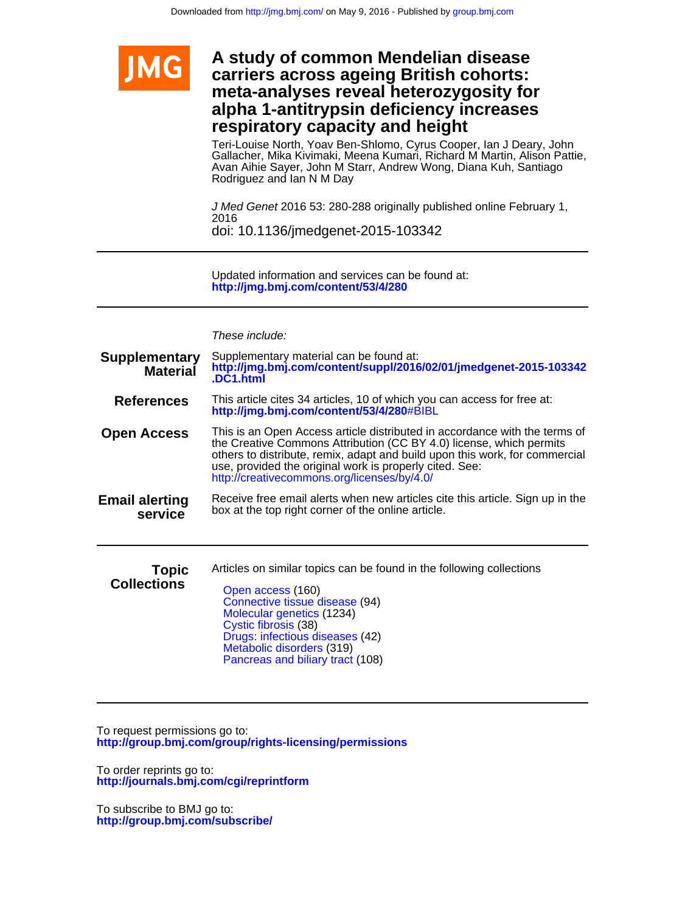

# **respiratory capacity and height alpha 1-antitrypsin deficiency increases meta-analyses reveal heterozygosity for carriers across ageing British cohorts: A study of common Mendelian disease**

Rodriguez and Ian N M Day Avan Aihie Sayer, John M Starr, Andrew Wong, Diana Kuh, Santiago Gallacher, Mika Kivimaki, Meena Kumari, Richard M Martin, Alison Pattie, Teri-Louise North, Yoav Ben-Shlomo, Cyrus Cooper, Ian J Deary, John

doi: 10.1136/jmedgenet-2015-103342 2016 J Med Genet 2016 53: 280-288 originally published online February 1,

**<http://jmg.bmj.com/content/53/4/280>** Updated information and services can be found at:

These include:

| <b>Supplementary</b><br><b>Material</b> | Supplementary material can be found at:<br>http://jmg.bmj.com/content/suppl/2016/02/01/jmedgenet-2015-103342<br>.DC1.html                                                                                                                                                                                                                  |  |  |
|-----------------------------------------|--------------------------------------------------------------------------------------------------------------------------------------------------------------------------------------------------------------------------------------------------------------------------------------------------------------------------------------------|--|--|
| <b>References</b>                       | This article cites 34 articles, 10 of which you can access for free at:<br>http://jmg.bmj.com/content/53/4/280#BIBL                                                                                                                                                                                                                        |  |  |
| <b>Open Access</b>                      | This is an Open Access article distributed in accordance with the terms of<br>the Creative Commons Attribution (CC BY 4.0) license, which permits<br>others to distribute, remix, adapt and build upon this work, for commercial<br>use, provided the original work is properly cited. See:<br>http://creativecommons.org/licenses/by/4.0/ |  |  |
| <b>Email alerting</b><br>service        | Receive free email alerts when new articles cite this article. Sign up in the<br>box at the top right corner of the online article.                                                                                                                                                                                                        |  |  |
| <b>Topic</b><br><b>Collections</b>      | Articles on similar topics can be found in the following collections<br>Open access (160)<br>Connective tissue disease (94)<br>Molecular genetics (1234)<br>Cystic fibrosis (38)<br>Drugs: infectious diseases (42)<br>Metabolic disorders (319)<br>Pancreas and biliary tract (108)                                                       |  |  |

**<http://group.bmj.com/group/rights-licensing/permissions>** To request permissions go to:

**<http://journals.bmj.com/cgi/reprintform>** To order reprints go to:

**<http://group.bmj.com/subscribe/>** To subscribe to BMJ go to: